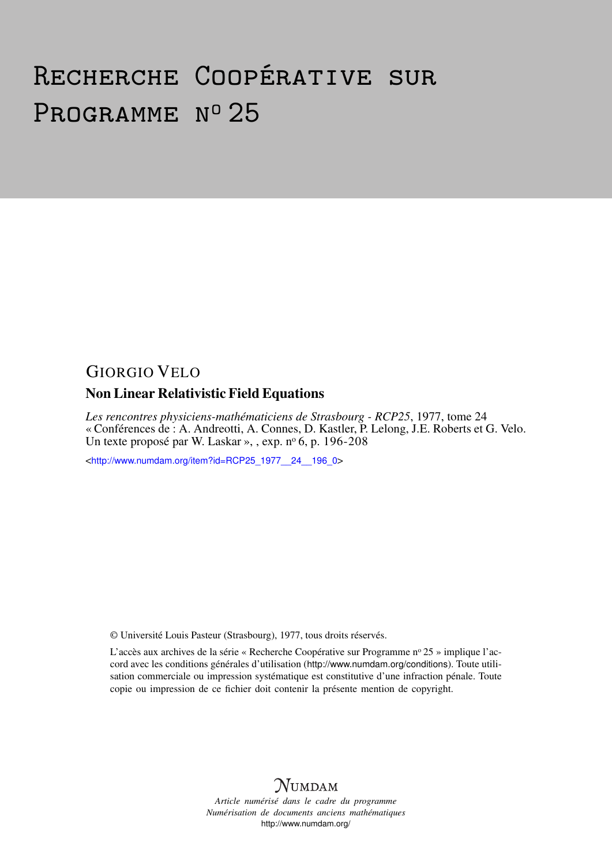# Recherche Coopérative sur PROGRAMME Nº 25

## GIORGIO VELO

### Non Linear Relativistic Field Equations

*Les rencontres physiciens-mathématiciens de Strasbourg - RCP25*, 1977, tome 24 « Conférences de : A. Andreotti, A. Connes, D. Kastler, P. Lelong, J.E. Roberts et G. Velo. Un texte proposé par W. Laskar », , exp. nº 6, p. 196-208

<[http://www.numdam.org/item?id=RCP25\\_1977\\_\\_24\\_\\_196\\_0](http://www.numdam.org/item?id=RCP25_1977__24__196_0)>

© Université Louis Pasteur (Strasbourg), 1977, tous droits réservés.

L'accès aux archives de la série « Recherche Coopérative sur Programme nº 25 » implique l'accord avec les conditions générales d'utilisation (<http://www.numdam.org/conditions>). Toute utilisation commerciale ou impression systématique est constitutive d'une infraction pénale. Toute copie ou impression de ce fichier doit contenir la présente mention de copyright.



*Article numérisé dans le cadre du programme Numérisation de documents anciens mathématiques* <http://www.numdam.org/>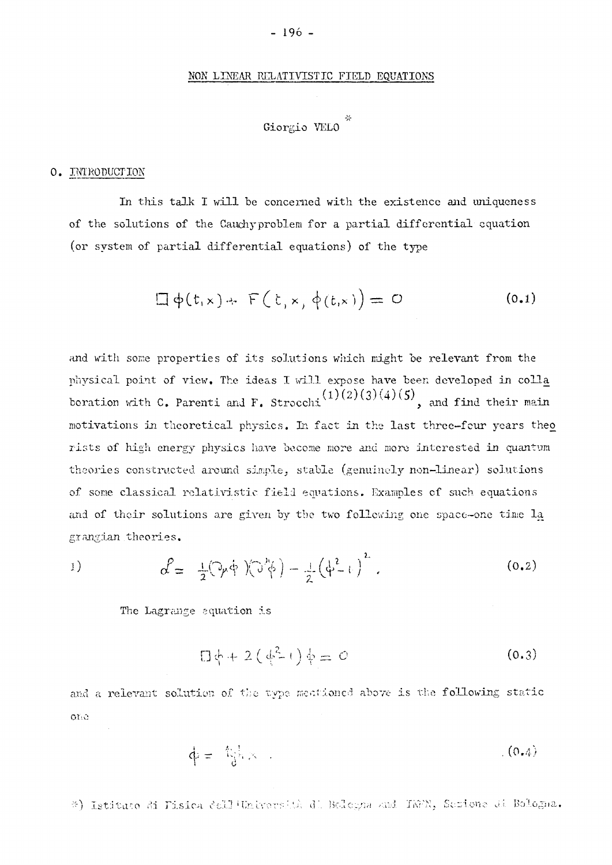# Giorgio VELO

#### 0. INTRODUCTION

In this talk I will be concerned with the existence and uniqueness of the solutions of the Cauchyproblem for a partial differential equation (or system of partial differential equations) of the type

$$
\Box \varphi(t,x) \div F(\xi,x,\varphi(t,x)) = O \qquad (0.1)
$$

and with some properties of its solutions which might be relevant from the physical point of view. The ideas I will expose have been developed in colla boration with C. Parenti and F. Strocchi<sup>(1)(2)</sup>(5)<sup>(4)(3)</sup>, and find their main motivations in theoretical physics. In fact in the last three-four years theo rists of high energy physics have become more and more interested in quantum thecries constructed around simple, stable (genuinely non-linear) solutions of some classical, relativistic field equations. Examples of such equations and of their solutions are given by the two following one space-one time la grangian theories.

$$
d^2 = \frac{1}{2} \left( \partial_\mu \dot{\phi} \right) \left( \partial_\phi \dot{\phi} \right) - \frac{1}{2} \left( \dot{\phi}^2 + \dot{\phi} \right)^2. \tag{0.2}
$$

 $T_{\rm eff}$  is the lagrange equation is the lagrange equation is the lagrange equation is the lagrange equation is the lagrange of  $T_{\rm eff}$ 

$$
\Box \phi + 2 \left( \phi^2 - 1 \right) \phi = 0 \tag{0.3}
$$

and a relevant solution of the type mentioned above is the following static one

$$
\varphi = -\mathfrak{f}_{\mathfrak{F}}^{\perp} \mathfrak{f}_{\mathfrak{F}} \quad . \tag{0-4}
$$

\*) Istituto di Fisica dell'Università di Bolegna and TMFN, Sezione di Bologna.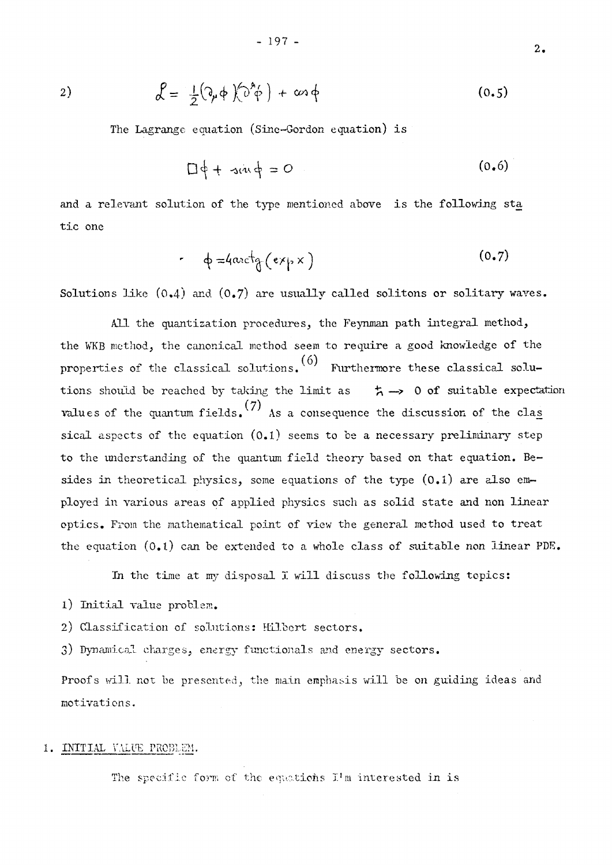$$
\mathcal{L} = \frac{1}{2} (\partial_{\mu} \phi) (\partial^{\mu} \phi) + \omega_1 \phi \qquad (0.5)
$$

The Lagrange equation (Sine-Gordon equation) is

$$
\Box \varphi + \sin \varphi = O \qquad (0.6)
$$

and a relevant solution of the type mentioned above is the following sta tic one

$$
\phi = 4 \arct_{0} \left( e \times \rho \times \right) \tag{0.7}
$$

Solutions like  $(0.4)$  and  $(0.7)$  are usually called solitons or solitary waves.

All the quantization procedures, the Feynman path integral method, the WKB method, the canonical method seem to require a good knowledge of the properties of the classical solutions.  $(6)$  Furthermore these classical solutions should be reached by taking the limit as  $\star \rightarrow 0$  of suitable expectation values of the quantum fields.  $(7)$  As a consequence the discussion of the clas sical aspects of the equation  $(0,1)$  seems to be a necessary preliminary step to the understanding of the quantum field theory based on that equation. Besides in theoretical physics, some equations of the type  $(0,1)$  are also employed in various areas of applied physics such as solid state and non linear optics. From the mathematical point of view the general method used to treat the equation  $(0, 1)$  can be extended to a whole class of suitable non linear PDE.

In the time at my disposal I will discuss the following topics:

the equation (O.L) can be extended to a whole class of suitable non-linear PDE. The suitable non-linear  $P$ 

1) Initial value problem.

2) Classification of solutions: Hilbert sectors.

3) Dynamical charges, energy functionals and energy sectors.

Proofs will not be presented, the main emphasis will be on guiding ideas and motivations.

#### 1. INITIAL VALUE PROBLEM.

The specific form of the equations  $I<sup>t</sup>$ m interested in is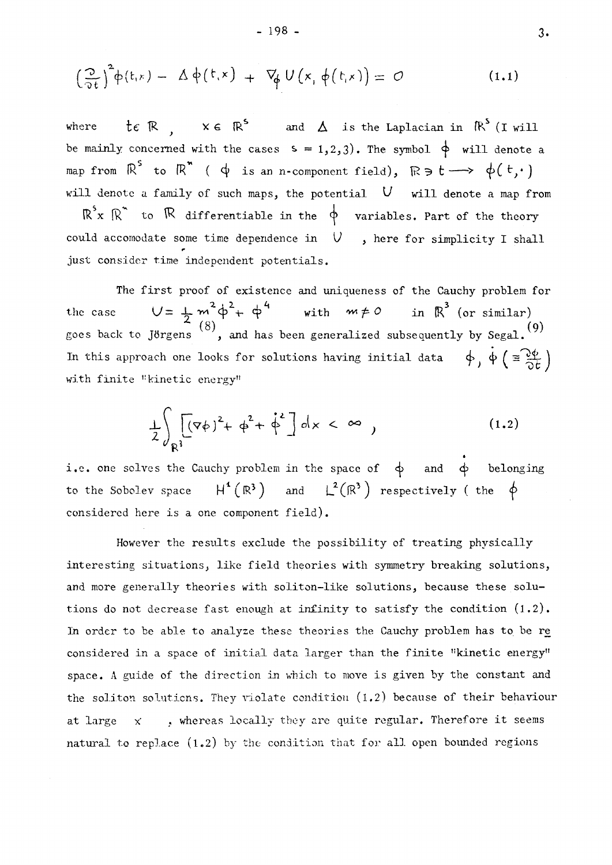$$
\left(\frac{\partial}{\partial t}\right)^{2}\varphi(t,x) - \Delta \varphi(t,x) + \nabla_{\!\!\varphi} U\big(x,\varphi(t,x)\big) = O \qquad (1.1)
$$

where  $\mathfrak{t}\varepsilon\mathbb{R}$ ,  $\mathsf{x}\varepsilon\mathbb{R}^3$  and  $\Delta$  is the Laplacian in  $\mathbb{R}^3$  (I will be mainly concerned with the cases  $s = 1,2,3$ ). The symbol  $\phi$  will denote a map from  $\mathbb{R}^+$  to  $\mathbb{R}$  (  $\varphi$  is an n-component field),  $\mathbb{R} \ni \mathsf{t} \longrightarrow \varphi(\mathsf{t}, \cdot)$ will denote a family of such maps, the potential  $U$  will denote a map from

 $\mathbb{R}^s$ x  $\mathbb{R}^s$  to  $\mathbb R$  differentiable in the  $\phi$  variables. Part of the theory could accomodate some time dependence in *V* , here for simplicity I shall just consider time independent potentials.

The first proof of existence and uniqueness of the Cauchy problem for the case  $U = \frac{1}{2} m^2 \dot{\phi}^2 + \dot{\phi}^4$  with  $m \neq 0$  in  $\mathbb{R}^3$  (or similar) goes back to Jörgens  $(8)$ , and has been generalized subsequently by Segal.  $(9)$ In this approach one looks for solutions having initial data  $\phi$ ,  $\phi$   $\left( \equiv \frac{\partial \phi}{\partial t} \right)$ with finite "kinetic energy"

$$
\frac{1}{2} \int_{\mathbb{R}^3} \left[ \left( \nabla \phi \right)^2 + \phi^2 + \dot{\phi}^2 \right] \, d \times \, < \, \infty \quad , \tag{1.2}
$$

i.e. one solves the Cauchy problem in the space of  $\phi$  and  $\phi$  belonging to the Sobolev space  $\mathcal{L}(\mathbb{R}^3)$  and  $\mathcal{L}^2(\mathbb{R}^3)$  respectively (the  $\varphi$ considered here is a one component field).

However the results exclude the possibility of treating physically interesting situations, like field theories with symmetry breaking solutions, and more generally theories with soliton-like solutions, because these solutions do not decrease fast enough at infinity to satisfy the condition (1.2) . In order to be able to analyze these theories the Cauchy problem has to be re considered in a space of initial data larger than the finite "kinetic energy" space. A guide of the direction in which to move is given by the constant and the soliton solutions. They violate condition (1.2 ) because of their behaviour at large  $x$ , whereas locally they are quite regular. Therefore it seems natural to replace  $(1.2)$  by the condition that for all open bounded regions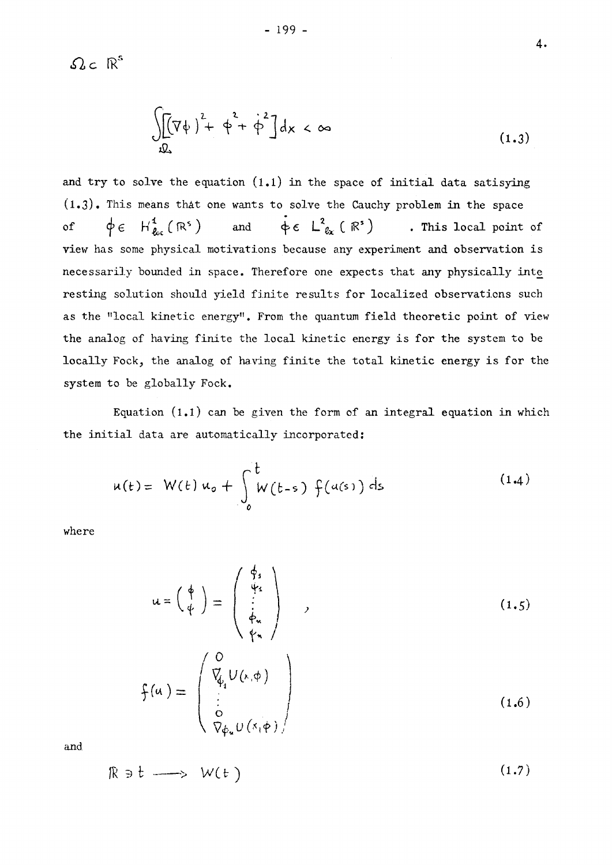$\Omega$ c  $\mathbb{R}^s$ 

$$
\int_{\Omega} \left[ \left( \nabla \phi \right)^2 + \phi^2 + \dot{\phi}^2 \right] dx < \infty \tag{1.3}
$$

and try to solve the equation  $(1.1)$  in the space of initial data satisying  $(1.3)$ . This means that one wants to solve the Cauchy problem in the space of  $\varphi \in H_{\ell_{\alpha}}(R^*)$  and  $\varphi \in L_{\ell_{\alpha}}(R^*)$  . This local point of view has some physical motivations because any experiment and observation is necessarily bounded in space. Therefore one expects that any physically inte resting solution should yield finite results for localized observations such as the "local kinetic energy". From the quantum field theoretic point of view the analog of having finite the local kinetic energy is for the system to be locally Fock, the analog of having finite the total kinetic energy is for the system to be globally Fock.

Equation  $(1.1)$  can be given the form of an integral equation in which the initial data are automatically incorporated:

$$
u(t) = W(t) u_0 + \int_0^t W(t-s) f(u(s)) ds
$$
 (1.4)

where

$$
u = \begin{pmatrix} \phi \\ \psi \\ \psi \end{pmatrix} = \begin{pmatrix} \frac{\phi_3}{\psi_4} \\ \vdots \\ \frac{\phi_n}{\psi_n} \end{pmatrix} , \qquad (1.5)
$$

$$
\mathfrak{f}(u) = \begin{pmatrix} 0 \\ \nabla_{\psi_1} U(x, \phi) \\ \vdots \\ \nabla_{\psi_n} U(x, \phi) \end{pmatrix} . \qquad (1.6)
$$

and

 $\mathbb{R} \ni \mathbf{t} \longrightarrow \mathcal{W}(\mathbf{t})$  (1.7)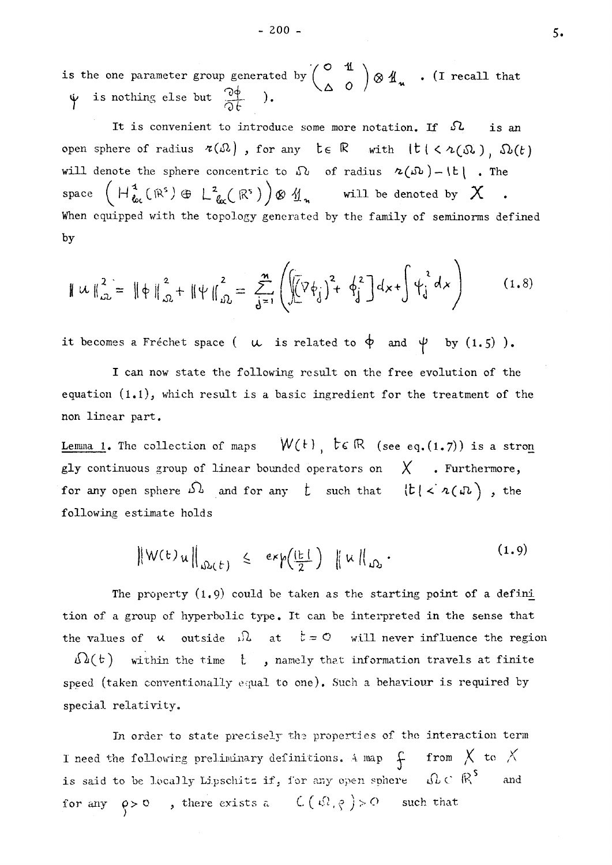$\sqrt{\circ}$  11  $\sqrt$ is the one parameter group generated by  $\begin{pmatrix} 0 \end{pmatrix}$   $\emptyset$   $\mathbb{1}_n$  . (I recall that  $\partial \phi$  and  $\Delta$   $\sim$  /  $\frac{1}{\alpha}$  is nothing else but  $\frac{1}{\alpha}$  ).

It is convenient to introduce some more notation. If *SX* is an open sphere of radius  $\alpha(\mathcal{A})$  , for any te K with  $\mathfrak{l} t \in \mathcal{A}(\mathfrak{A})$  ,  $\mathfrak{D}(t)$ will denote the sphere concentric to  $\Omega$  of radius  $\alpha(\Omega)$  - \t \ . The space  $(H_{\ell_{\alpha}}(\mathbb{R}^3) \oplus L_{\ell_{\alpha}}^{\alpha}(\mathbb{R}^3)) \otimes M_{n}$  will be denoted by  $\Lambda$  . When equipped with the topology generated by the family of seminorms defined by

$$
\|\psi\|_{\mathfrak{D}}^2 = \|\phi\|_{\mathfrak{D}}^2 + \|\psi\|_{\mathfrak{D}}^2 = \sum_{j=1}^m \left( \int (\nabla \phi_j)^2 + \phi_j^2 \right) d\mathbf{x} + \int \phi_j^2 d\mathbf{x} \right) \qquad (1.8)
$$

it becomes a Fréchet space (  $\mu$  is related to  $\phi$  and  $\psi$  by (1.5) ).

I can now state the following result on the free evolution of the equation  $(1.1)$ , which result is a basic ingredient for the treatment of the non linear part.

Lemma 1. The collection of maps  $W(t)$ ,  $t \in \mathbb{R}$  (see eq.(1.7)) is a stron gly continuous group of linear bounded operators on  $X$  • Furthermore, for any open sphere  $\Omega$  and for any  $t$  such that  $\left\lfloor t \right\rfloor < \lambda \left( \Omega \right)$ , the following estimate holds

$$
\|W(t)u\|_{\mathfrak{Q}_{\nu}(t)} \leq \exp\left(\frac{|t|}{2}\right) \|u\|_{\mathfrak{Q}}.
$$
 (1.9)

The property  $(1, 9)$  could be taken as the starting point of a defini tion of a group of hyperbolic type. It can be interpreted in the sense that the values of  $\alpha$  outside  $\beta \lambda$  at  $\zeta = 0$  will never influence the region  $\Omega(t)$  within the time  $t$ , namely that information travels at finite speed (taken conventionally equal to one). Such a behaviour is required by special relativity.

In order to state precisely the properties of the interaction term I need the following preliminary definitions. A map  $\oint$  from  $\int$  to  $\int$ is said to be locally Lipschitz if, for any open sphere  $\bigoplus C \bigoplus S$  and for any  $\rho > 0$ , there exists a  $C(\Omega,\rho) > 0$  such that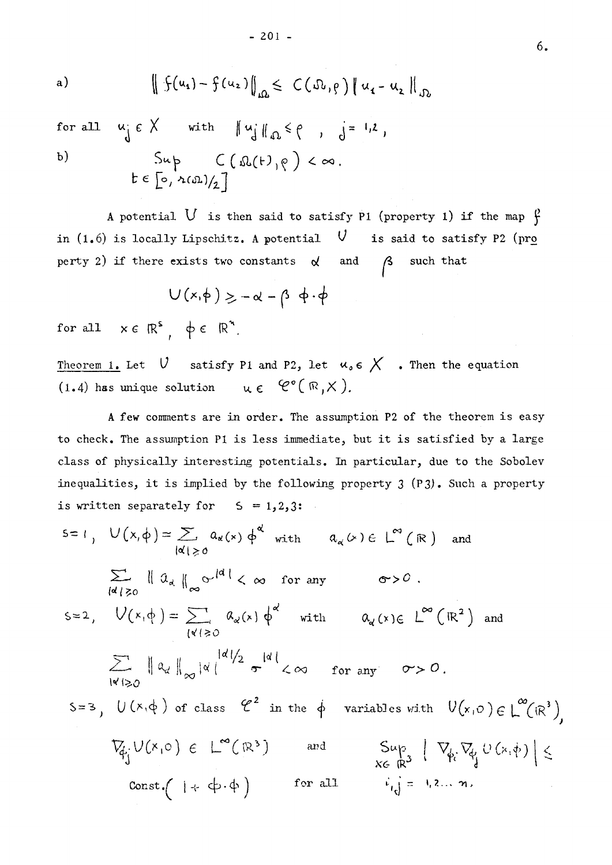a) 
$$
\left\| \int (u_1) - \int (u_2) \right\|_{L^2} \leq C \left( \Omega, \rho \right) \left\| u_1 - u_2 \right\|_{L^2}
$$

for all 
$$
u_j \in X
$$
 with  $||u_j||_{\Omega} \leq \rho$ ,  $j = 1,2$ ,  
\nb)  $\text{Supp } C(\Omega(t), \rho) < \infty$ .  
\n $t \in [\infty, \Lambda(\Omega)/2]$ 

A potential  $\bigcup$  is then said to satisfy P1 (property 1) if the map  $\bigcirc$ in (1.6) is locally Lipschitz. A potential  $\mathcal V$  is said to satisfy P2 (pro perty 2) if there exists two constants  $\alpha$  and  $\beta$  such that

$$
\bigcup (x,\varphi\big)\geqslant -\alpha-\beta\ \varphi\cdot\varphi
$$

for all  $x \in \mathbb{R}^3$   $\phi \in \mathbb{R}^3$ .

Theorem 1. Let  $V$  satisfy P1 and P2, let  $u_0 \in X$  . Then the equation (1.4) has unique solution  $u \in \mathcal{C}^{\circ}(\mathbb{R}, X)$ .

A few comments are in order. The assumption P2 of the theorem is easy to check. The assumption PI is less immediate, but it is satisfied by a large class of physically interesting potentials. In particular, due to the Sobolev inequalities, it is implied by the following property  $3$  (P3). Such a property is written separately for  $5 = 1,2,3$ :

$$
S=1, \quad U(x,\phi)=\sum_{|\alpha|\geq 0}a_{\alpha}(x)\phi^{\alpha} \quad \text{with} \quad a_{\alpha}(x)\in L^{\infty}(\mathbb{R}) \quad \text{and}
$$
\n
$$
\sum_{|\alpha|\geq 0}||a_{\alpha}||_{\infty}c^{|\alpha|} < \infty \quad \text{for any} \quad \sigma>0.
$$
\n
$$
S=2, \quad U(x,\phi)=\sum_{|\alpha|\geq 0}a_{\alpha}(x)\phi^{\alpha} \quad \text{with} \quad a_{\alpha}(x)\in L^{\infty}(\mathbb{R}^{2}) \quad \text{and}
$$
\n
$$
\sum_{|\alpha|\geq 0}||a_{\alpha}||_{\infty}|\alpha||_{\infty}d^{|\alpha|} + \int_{\infty}^{\mathbb{R}^{d}}|\alpha|_{\infty}d^{|\alpha|} < \infty \quad \text{for any} \quad \sigma>0.
$$
\n
$$
S=3, \quad U(x,\phi) \quad \text{of class} \quad C^{2} \quad \text{in the } \phi \quad \text{variables with} \quad U(x,\sigma)\in L^{\infty}(\mathbb{R}^{3}),
$$
\n
$$
V_{\phi} \cdot U(x,\phi) \in L^{\infty}(\mathbb{R}^{3}) \quad \text{and} \quad \sup_{x\in\mathbb{R}^{3}} \left| \nabla_{\phi} \cdot \nabla_{\phi} U(x,\phi) \right| \leq \infty.
$$
\n
$$
\text{const.} \left(1+\phi\cdot\phi\right) \quad \text{for all} \quad \int_{\phi_{1}}^{1} f(x,\sigma) \cdot \nabla_{\phi_{1}} U(x,\phi) dx
$$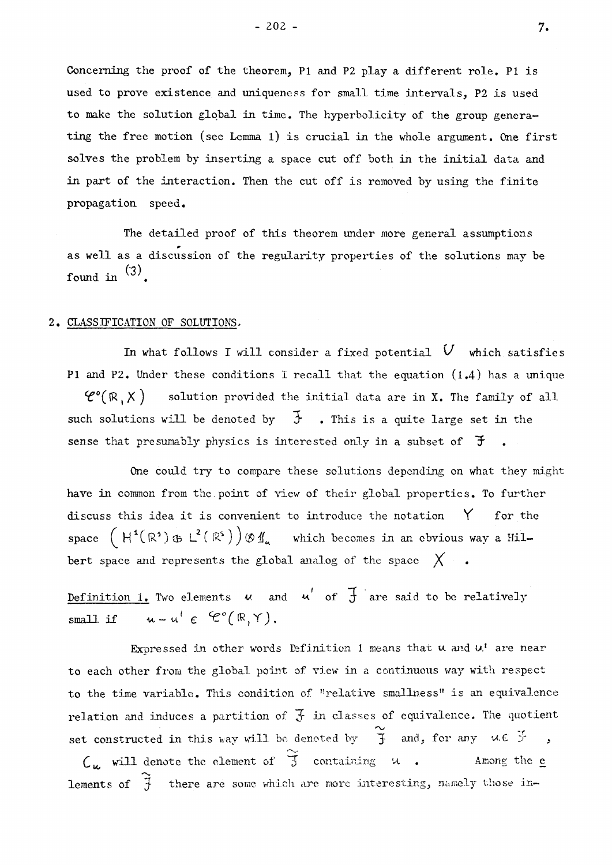Concerning the proof of the theorem, PI and P2 play a different role. PI is used to prove existence and uniqueness for small time intervals, P2 is used to make the solution global in time. The hyperbolicity of the group generating the free motion (see Lemma l) is crucial in the whole argument. One first solves the problem by inserting a space cut off both in the initial data and in part of the interaction. Then the cut off is removed by using the finite propagation speed.

The detailed proof of this theorem under more general assumptions as well as a discussion of the regularity properties of the solutions may be (3)  $f(x) = f(x)$ 

#### 2. CLASSIFICATION OF SOLUTIONS^

In what follows I will consider a fixed potential  $\dot{V}$  which satisfies PI and P2. Under these conditions I recall that the equation (1.4) has a unique  $\mathcal{C}^{\circ}(\mathbb{R},\times)$  solution provided the initial data are in X. The family of all such solutions will be denoted by  $\tilde{J}$  . This is a quite large set in the sense that presumably physics is interested only in a subset of  $\mathfrak F$ 

One could try to compare these solutions depending on what they might have in common from the point of view of their global properties. To further discuss this idea it is convenient to introduce the notation  $Y$  for the space  $(H^{1}(\mathbb{R}^{3})\oplus L^{2}(\mathbb{R}^{3}))\otimes \mathcal{H}_{\alpha}$  which becomes in an obvious way a Hilbert space and represents the global analog of the space  $\chi$ .

Definition 1. Two elements  $\kappa$  and  $\kappa'$  of  $\overline{f}$  are said to be relatively small if  $u-u' \in \mathcal{C}^{\circ}(\mathbb{R}, \Upsilon)$ ,

Expressed in other words Definition 1 means that  $u$  and  $u<sup>T</sup>$  are near to each other from the global point of view in a continuous way with respect to the time variable. This condition of "relative smallness" is an equivalence relation and induces a partition of  $\mathfrak F$  in classes of equivalence. The quotient set constructed in this way will be denoted by  $\widetilde{f}$  and, for any  $u \in \widetilde{f}$  $C_{\kappa}$  will denote the element of  $\widetilde{\mathfrak{I}}$  containing u. Among the e

lements of  $\widetilde{A}$  there are some which are more interesting, namely those in-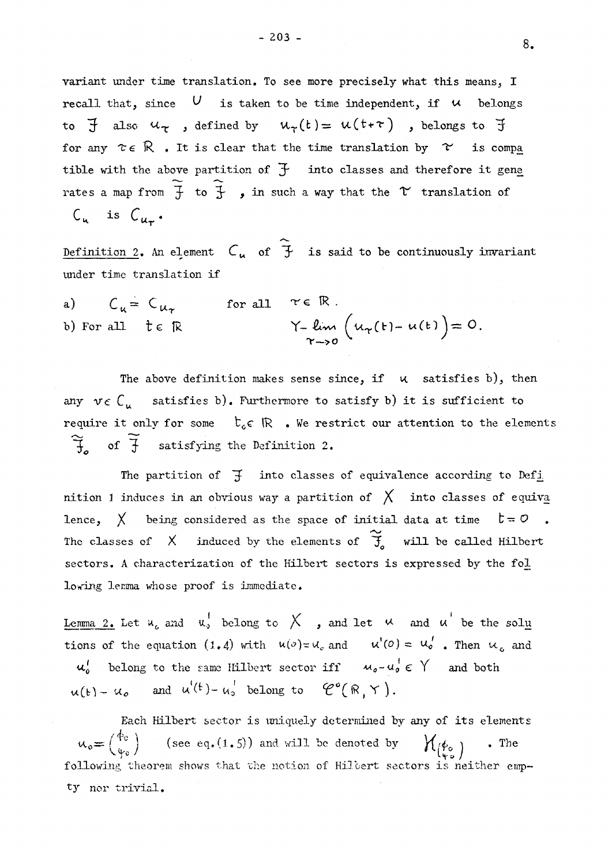variant under time translation. To see more precisely what this means, I recall that, since  $\mathcal V$  is taken to be time independent, if  $\mathcal u$  belongs to  $f$  also  $u_{\tau}$ , defined by  $u_{\tau}(t) = u(t+\tau)$ , belongs to  $\bar{z}$ for any  $\tau \in \mathbb{R}$ . It is clear that the time translation by  $\tau$  is comparent tible with the above partition of  $\mathcal{F}$  into classes and therefore it gene rates a map from  $\widetilde{f}$  to  $\widehat{f}$ , in such a way that the  $\widetilde{r}$  translation of  $U_{\mu}$  is  $U_{\mu}$ .

Definition 2. An element  $C_u$  of  $\tilde{f}$  is said to be continuously invariant under time translation If

a) 
$$
C_u = C_{u_\tau}
$$
 for all  $\tau \in \mathbb{R}$ .  
b) For all  $t \in \mathbb{R}$   $Y-\lim_{\tau \to 0} (u_\tau(t) - u(t)) = 0$ .

The above definition makes sense since, if  $\kappa$  satisfies b), then any  $v \in C_u$  satisfies b). Furthermore to satisfy b) it is sufficient to require it only for some  $t_0 \in \mathbb{R}$  • We restrict our attention to the elements  $\widetilde{+}$  of  $\widetilde{+}$  satisfying the Definition 2.

The partition of  $\overline{f}$  into classes of equivalence according to Defi. nition 1 induces in an obvious way a partition of  $\chi$  into classes of equiva lence,  $\chi$  being considered as the space of initial data at time  $t = 0$ The classes of  $X$  induced by the elements of  $\widetilde{J}_{o}$  will be called Hilbert sectors. A characterization of the Hilbert sectors is expressed by the fol lowing lemma whose proof is immediate.

Lemma 2. Let  $u_c$  and  $u_0^{\dagger}$  belong to  $X$ , and let  $\kappa$  and  $u^{\dagger}$  be the solu tions of the equation (1.4) with  $u(\circ) = u_{\circ}$  and  $u'(0) = u_{\circ}'$ . Then  $u_{\circ}$  and  $u_0'$  belong to the same Hilbert sector iff  $u_0 - u_0 \in Y$  and both  $u(t) - u_o$  and  $u^{(t)} - u_o$  belong to  $\mathcal{C}^{\circ}(\mathbb{R}, Y)$ .

Each Hilbert sector is uniquely determined by any of its elements  $\mu_o = \begin{pmatrix} \phi_c \\ \psi_c \end{pmatrix}$  (see eq.(1.5)) and will be denoted by *i\*0 ) • T h e*  following theorem shows that the notion of Hilbert sectors is neither empty nor trivial.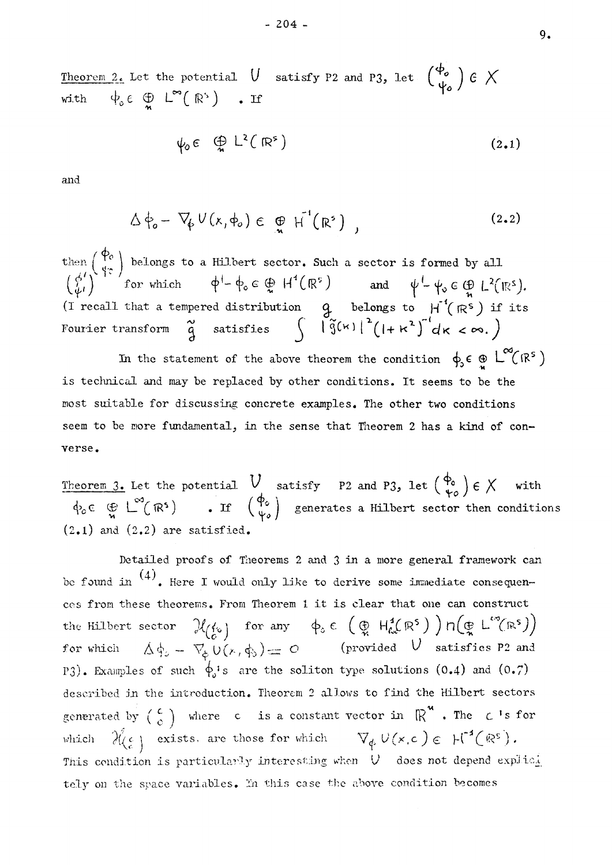Theorem 2. Let the potential  $V$  satisfy P2 and P3, let  $\begin{pmatrix} \tau \circ \\ \cdot \end{pmatrix}$   $\in$   $X$ with  $\psi_{\rho} \in \bigoplus_{\alpha} L^{\infty}(\mathbb{R}^{3})$  . If

$$
\psi_0 \in \mathbb{Q}^2(\mathbb{R}^5) \tag{2.1}
$$

and

$$
\Delta \varphi_o - \nabla_{\!\!\phi} U(x, \varphi_o) \in \bigoplus_{\Lambda} \tilde{H}^1(\mathbb{R}^s) , \qquad (2.2)
$$

then  $\begin{pmatrix} 1^{\circ} \\ 0 \end{pmatrix}$  belongs to a Hilbert sector. Such a sector is formed by all  $\binom{P}{d}$  for which  $\phi^1 - \phi_0 \in \bigoplus \mathcal{H}^1(\mathbb{R}^3)$  and  $\psi^1 - \psi_0 \in \bigoplus \mathcal{L}^2(\mathbb{R}^5)$ . (I recall that a tempered distribution  $q$  belongs to  $H^1(\mathbb{R}^s)$  if its Fourier transform  $\alpha$  satisfies  $\qquad \qquad \qquad$   $| \operatorname{G}^{(\kappa)} |$   $( | + \kappa^{\kappa} ) |$   $d \kappa < \infty.$   $\qquad$ 

In the statement of the above theorem the condition  $\phi_s \in \mathfrak{D}$  L<sup>oo</sup> (R<sup>s</sup>) is technical and may be replaced by other conditions. It seems to be the most suitable for discussing concrete examples. The other two conditions seem to be more fundamental, in the sense that Theorem 2 has a kind of converse.

Theorem 3. Let the potential  $V$  satisfy P2 and P3, let  $\begin{pmatrix} \gamma_0 \\ u_{10} \end{pmatrix} \in \mathcal{X}$  with  $\psi_c \in \mathfrak{S} \subset \mathfrak{S}$  ( $\mathbb{R}^5$ )  $\bullet$  If  $\begin{pmatrix} 1 \\ \psi_a \end{pmatrix}$  generates a Hilbert sector then conditions  $(2.1)$  and  $(2.2)$  are satisfied.

Detailed proofs of Theorems 2 and 3 in a more general framework can be found in  $(4)$ . Here I would only like to derive some immediate consequences from these theorems. From Theorem 1 it is clear that one can construct the filter tentor  $\mathcal{U}_{\mathcal{U}}$  for  $m \neq \mathcal{E}$  ( $\oplus$   $\mathcal{U}^{\prime}(\mathbb{D}^{\mathsf{S}})$ )  $n(\oplus \mathcal{E}^{\prime})$  $\begin{pmatrix} 0 & 0 \\ 0 & 1 \end{pmatrix}$  (provided  $\begin{pmatrix} 0 & 0 \\ 0 & 0 \end{pmatrix}$  satisfies P? and P3). Examples of such  $\phi_o$ 's are the soliton type solutions (0.4) and (0.7) *desemibed in the introduction* Theorem 2 allows to find the Hilbert sectors generated by  $\begin{pmatrix} c \\ c \end{pmatrix}$  where c is a constant vector in  $\mathbb{R}^N$ . The  $c$  's for which  $\partial (\zeta_c )$  exists, are those for which  $\nabla_{\phi} U(x, c) \in H^{-1}(\mathbb{R}^s)$ . This condition is particularly interesting when  $|V|$  does not depend explici tely on the space variables. In this case the above condition becomes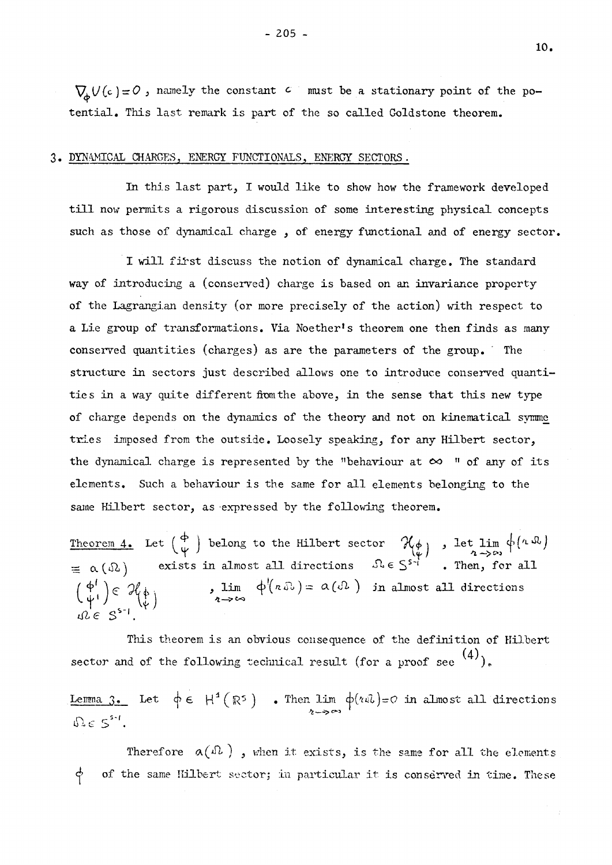$\nabla_{\Phi}U(c)=0$ , namely the constant *c* must be a stationary point of the potential. This last remark is part of the so called Goldstone theorem.

#### 3 . DYNAMICAL CHARGES, ENERGY FUNCTIONALS, ENERGY SECTORS.

In this last part, I would like to show how the framework developed till now permits a rigorous discussion of some interesting physical concepts such as those of dynamical charge, of energy functional and of energy sector.

I will fitst. discuss the notion of dynamical charge. The standard way of introducing a (conserved) charge is based on an invariance property of the Lagrangian density (or more precisely of the action) with respect to a Lie group of transformations. Via Noether's theorem one then finds as many conserved quantities (charges) as are the parameters of the group. ' The structure in sectors just described allows one to introduce conserved quantities in a way quite different from the above, in the sense that this new type of charge depends on the dynamics of the theory and not on kinematical symme tries imposed from the outside. Loosely speaking, for any Hilbert sector, the dynamical charge is represented by the "behaviour at  $\infty$  " of any of its elements. Such a behaviour is the same for all elements belonging to the same Hilbert sector, as expressed by the following theorem.

Theorem 4. Let  $(\begin{array}{c} \varphi \\ \omega \end{array})$  belong to the Hilbert sector  $\ \mathcal{H}_{\varphi_{1}}$  , let lim  $\varphi^{(n,\mathfrak{D})}$  $= \alpha(\Omega)$  exists in almost all directions  $\Omega \in S^{5-i}$  . Then, for all  $(\phi^{\dagger})_{\sub{c}}$   $\mathcal{H}_{k}$ ,  $\qquad \qquad$ ,  $\lim_{\sub{c}}$   $\phi^{\dagger}(k\Omega) = \alpha(\Omega)$  in almost all directions  $\Omega \in S^{3-1}$ .

This theorem is an obvious consequence of the definition of Hilbert sector and of the following technical result (for a proof see  $(4)$ ).

Lemma 3. Let  $\phi \in H^4(\mathbb{R}^5)$  . Then lim  $\phi$ (*tel*) = O in almost all directions  $D \in S^{s-1}.$ 

Therefore  $a(\Omega)$ , when it exists, is the same for all the elements  $\phi$  of the same Hilbert sector; in particular it is conserved in time. These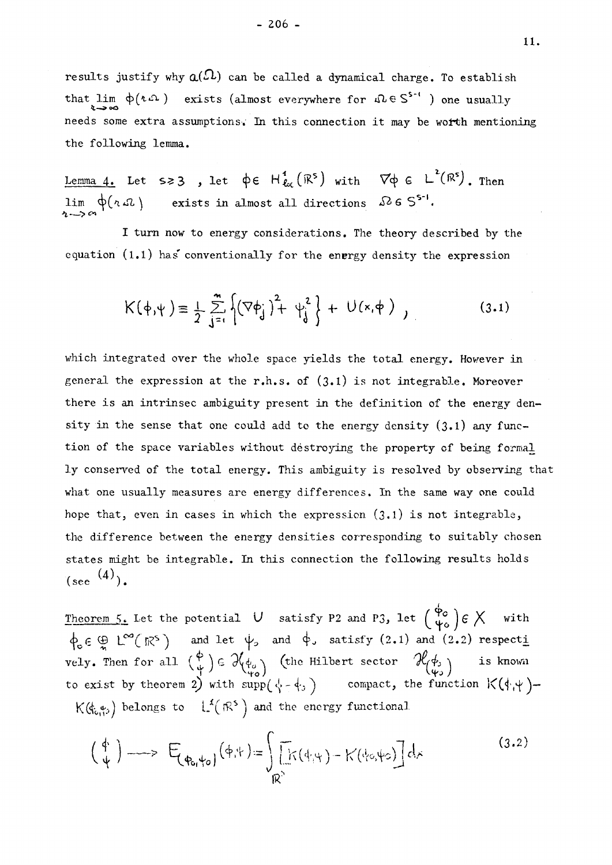results justify why  $a(\Omega)$  can be called a dynamical charge. To establish that lim  $\phi(\iota\Omega)$  exists (almost everywhere for  $\Omega \in S^{>0}$  ) one usually t—> oO needs some extra assumptions. In this connection it may be worth mentioning the following lemma.

Lemma 4. Let  $s \ge 3$ , let  $\phi \in H^{4}_{\ell_{\alpha}}(\mathbb{R}^{5})$  with  $\nabla \phi \in L^{2}(\mathbb{R}^{5})$ . Then  $\lim_{n\to\infty} \phi(n\Omega)$  exists in almost all directions  $\Omega$  6  $S^{5-1}$ .

I turn now to energy considerations. The theory described by the equation (l.l) has'conventionally for the energy density the expression

$$
K(\phi,\psi) \equiv \frac{1}{2} \sum_{j=1}^{m} \left\{ (\nabla \phi_j)^2 + \psi_j^2 \right\} + U(x,\phi) , \qquad (3.1)
$$

which integrated over the whole space yields the total energy. However in general the expression at the r.h.s. of  $(3.1)$  is not integrable. Moreover there is an intrinsec ambiguity present in the definition of the energy density in the sense that one could add to the energy density  $(3.1)$  any function of the space variables without destroying the property of being formal ly conserved of the total energy. This ambiguity is resolved by observing that what one usually measures are energy differences. In the same way one could hope that, even in cases in which the expression  $(3.1)$  is not integrable, the difference between the energy densities corresponding to suitably chosen states might be integrable. In this connection the following results holds  $(\sec^{(4)})$ .

Theorem 5. Let the potential  $V$  satisfy P2 and P3, let  $\begin{pmatrix} 1^{\circ} \\ \psi_{\alpha} \end{pmatrix} \in X$  with  $\bigoplus_{\alpha} L^{\infty}(\mathbb{R}^5)$  and let  $\psi$ , and  $\phi$ , satisfy (2.1) and (2.2) respecti vely. Then for all  $\begin{pmatrix} 0 \ 0 \end{pmatrix} \in \mathcal{S} \{ \phi_{\sigma} \}$  (the Hilbert sector  $\mathcal{S} \{ \phi_{\sigma} \}$  is known to exist by theorem 2) with  $\mathrm{supp}(\cdot\langle\cdot,\cdot|\cdot\rangle)$  -  $\mathrm{compact},$  the function  $\mathsf{K}(\langle\cdot|\cdot|\cdot\rangle-)$  $K(\xi, \xi)$  belongs to  $\mathcal{L}^*(\mathbb{R}^3)$  and the energy functional

$$
\begin{pmatrix} \phi \\ \psi \end{pmatrix} \longrightarrow \mathsf{E}_{\phi_0, \phi_0}(\phi, \psi) = \int_{\mathbb{R}^3} \left[ k(\phi, \psi) - k(\phi_0, \psi_0) \right] d\kappa \tag{3.2}
$$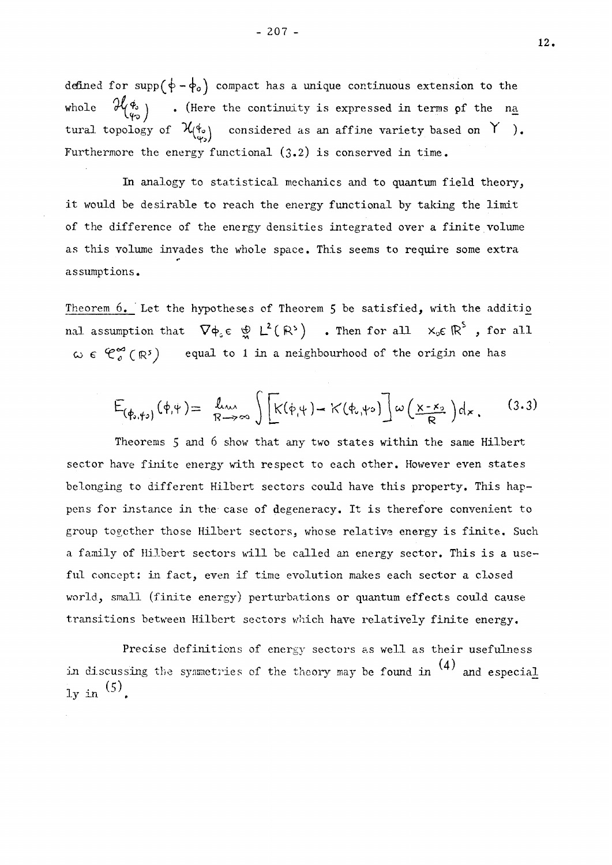defined for supp( $\phi - \phi_0$ ) compact has a unique continuous extension to the whole  $\mathcal{H}_{\{\psi_0\}}$  **•** (Here the continuity is expressed in terms of the na tural topology of  $\mathcal{X}(\phi)$  considered as an affine variety based on  $Y$ ). Furthermore the energy functional  $(3.2)$  is conserved in time.

In analogy to statistical mechanics and to quantum field theory, it would be desirable to reach the energy functional by taking the limit of the difference of the energy densities integrated over a finite volume as this volume invades the whole space. This seems to require some extra assumptions.

Theorem 6. Let the hypotheses of Theorem 5 be satisfied, with the addition nal assumption that  $\nabla \varphi_{\circ} \in \mathfrak{D} L^2(\mathbb{R}^3)$  *a* Then for all  $x_{\circ} \in \mathbb{R}^5$ , for all  $C \in \mathcal{C}_o^{\infty}(\mathbb{R}^5)$  equal to 1 in a neighbourhood of the origin one has

$$
E_{(\phi_{0},\phi_{0})}(\phi,\psi)=\lim_{R\to\infty}\int\left[\kappa(\phi,\psi)-\kappa(\phi,\psi_{0})\right]\omega\left(\frac{x-x_{0}}{R}\right)d\kappa.
$$
 (3.3)

Theorems 5 and 6 show that any two states within the same Hilbert sector have finite energy with respect to each other. However even states belonging to different Hilbert sectors could have this property. This happens for instance in the case of degeneracy. It is therefore convenient to group together those Hilbert sectors, whose relative energy is finite. Such a family of Hilbert sectors will be called an energy sector. This is a useful concept: in fact, even if time evolution makes each sector a closed world, small (finite energy) perturbations or quantum effects could cause transitions between Hilbert sectors which have relatively finite energy.

Precise definitions of energy sectors as well as their usefulness in discussing the symmetries of the theory may be found in  $(4)$  and especial  $\mathbf{1y}$  in  $(5)$ .